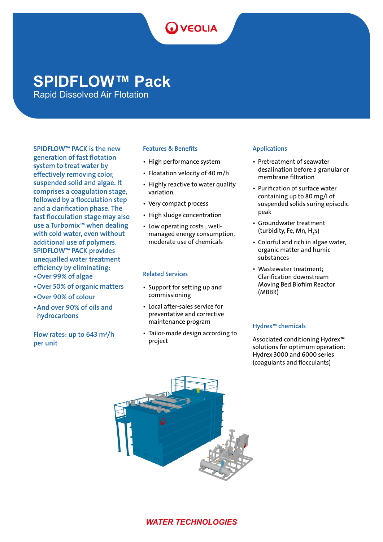# **O** VEOLIA

## **SPIDFLOW™ Pack**

Rapid Dissolved Air Flotation

SPIDFLOW™ PACK is the new generation of fast flotation system to treat water by effectively removing color, suspended solid and algae. It comprises a coagulation stage, followed by a flocculation step and a clarification phase. The fast flocculation stage may also use a Turbomix™ when dealing with cold water, even without additional use of polymers. SPIDFLOW™ PACK provides unequalled water treatment efficiency by eliminating:

- •Over 99% of algae
- •Over 50% of organic matters
- •Over 90% of colour
- •And over 90% of oils and hydrocarbons

Flow rates: up to 643 m<sup>3</sup>/h per unit

#### Features & Benefits

- High performance system
- Floatation velocity of 40 m/h
- Highly reactive to water quality variation
- Very compact process
- High sludge concentration
- Low operating costs ; wellmanaged energy consumption, moderate use of chemicals

#### Related Services

- Support for setting up and commissioning
- Local after-sales service for preventative and corrective maintenance program
- Tailor-made design according to project

#### Applications

- Pretreatment of seawater desalination before a granular or membrane filtration
- Purification of surface water containing up to 80 mg/l of suspended solids suring episodic peak
- Groundwater treatment (turbidity, Fe, Mn,  $H_2S$ )
- Colorful and rich in algae water, organic matter and humic substances
- Wastewater treatment; Clarification downstream Moving Bed Biofilm Reactor (MBBR)

#### Hydrex™ chemicals

Associated conditioning Hydrex™ solutions for optimum operation: Hydrex 3000 and 6000 series (coagulants and flocculants)



### *WATER TECHNOLOGIES*